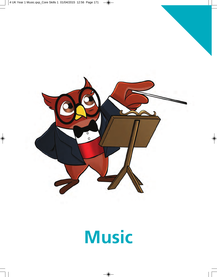

# **Music**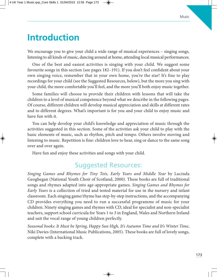### **Introduction**

We encourage you to give your child a wide range of musical experiences – singing songs, listening to all kinds of music, dancing around at home, attending local musical performances.

One of the best and easiest activities is singing with your child. We suggest some favourite songs in this section (see pages 182–191). If you don't feel confident about your own singing voice, remember that in your own home, you're the star! It's fine to play recordings for your child (see the Suggested Resources, below), but the more you sing with your child, the more comfortable you'll feel, and the more you'll both enjoy music together.

Some families will choose to provide their children with lessons that will take the children to a level of musical competence beyond what we describe in the following pages. Of course, different children will develop musical appreciation and skills at different rates and to different degrees. What's important is for you and your child to enjoy music and have fun with it.

You can help develop your child's knowledge and appreciation of music through the activities suggested in this section. Some of the activities ask your child to play with the basic elements of music, such as rhythm, pitch and tempo. Others involve moving and listening to music. Repetition is fine: children love to hear, sing or dance to the same song over and over again.

Have fun and enjoy these activities and songs with your child.

#### Suggested Resources:

*Singing Games and Rhymes for Tiny Tots, Early Years and Middle Year* by Lucinda Geoghegan (National Youth Choir of Scotland, 2000). These books are full of traditional songs and rhymes adapted into age-appropriate games. *Singing Games and Rhymes for Early Years* is a collection of tried and tested material for use in the nursery and infant classroom. Each singing game/rhyme has step-by-step instructions, and the accompanying CD provides everything you need to run a successful programme of music for your children. Ninety singing games and rhymes with CD, ideal for specialist and non-specialist teachers, support school curricula for Years 1 to 3 in England, Wales and Northern Ireland and suit the vocal range of young children perfectly.

*Seasonal books: It Must be Spring, Happy Sun High, It's Autumn Time and It's Winter Time*, Niki Davies (International Music Publications, 2005). These books are full of lovely songs, complete with a backing track.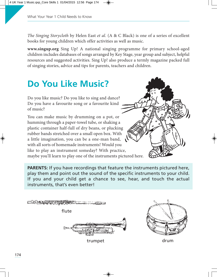*The Singing Storycloth* by Helen East *et al.* (A & C Black) is one of a series of excellent books for young children which offer activities as well as music.

**www.singup.org** Sing Up! A national singing programme for primary school-aged children includes databases of songs arranged by Key Stage, year group and subject, helpful resources and suggested activities. Sing Up! also produce a termly magazine packed full of singing stories, advice and tips for parents, teachers and children.

### **Do You Like Music?**

Do you like music? Do you like to sing and dance? Do you have a favourite song or a favourite kind of music?

You can make music by drumming on a pot, or humming through a paper-towel tube, or shaking a plastic container half-full of dry beans, or plucking rubber bands stretched over a small open box. With a little imagination, you can be a one-man band, with all sorts of homemade instruments! Would you like to play an instrument someday? With practice, maybe you'll learn to play one of the instruments pictured here.

**PARENTS:** If you have recordings that feature the instruments pictured here, play them and point out the sound of the specific instruments to your child. If you and your child get a chance to see, hear, and touch the actual instruments, that's even better!



flute



trumpet drum drum

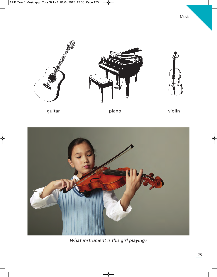



*What instrument is this girl playing?*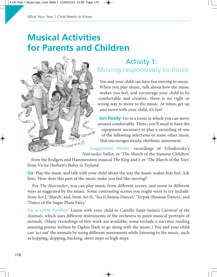## **Musical Activities for Parents and Children**



### Activity 1: Moving responsively to music

You and your child can have fun moving to music. When you play music, talk about how the music makes you feel, and encourage your child to be comfortable and creative: there is no right or wrong way to move to the music. At times, get up and move with your child; it's fun!

**Get Ready:** Go to a room in which you can move around comfortably. There, you'll need to have the equipment necessary to play a recording of one of the following selections or some other music that encourages steady, rhythmic movement.

**Suggested Music:** recordings of Tchaikovsky's

*Nutcracker* ballet; or 'The March of the Siamese Children' from the Rodgers and Hammerstein musical *The King and I*; or 'The March of the Toys' from Victor Herbert's *Babes in Toyland*.

**Go:** Play the music and talk with your child about the way the music makes him feel. Ask him, 'How does this part of the music make you feel like moving?'

For *The Nutcracker*, you can play music from different scenes, and move in different ways as suggested by the music. Some contrasting scenes you might want to try include: from Act I, 'March'; and, from Act II, 'Tea (Chinese Dance),' 'Trepak (Russian Dance),' and 'Dance of the Sugar Plum Fairy.'

**Go a Little Further:** Listen with your child to Camille Saint-Saëns's *Carnival of the Animals*, which uses different instruments of the orchestra to paint musical portraits of animals. (Many recordings of this work are available; some include a narrator reading amusing poems written by Ogden Nash to go along with the music.) You and your child can 'act out' the animals by using different movements while listening to the music, such as hopping, skipping, bucking, short steps or high steps.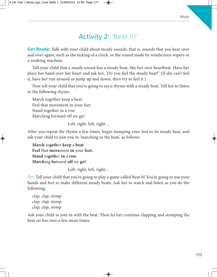#### Activity 2: 'Beat it!'

**Get Ready:** Talk with your child about steady sounds, that is, sounds that you hear over and over again, such as the ticking of a clock, or the sound made by windscreen wipers or a washing machine.

Tell your child that a steady sound has a steady beat, like her own heartbeat. Have her place her hand over her heart and ask her, 'Do you feel the steady beat?' (If she can't feel it, have her run around or jump up and down, then try to feel it.)

Now tell your child that you're going to say a rhyme with a steady beat. Tell her to listen to the following rhyme:

March together keep a beat Feel that movement in your feet. Stand together in a row Marching forward off we go!

Left, right, left, right…

After you repeat the rhyme a few times, begin stamping your feet to its steady beat, and ask your child to join you in 'marching to the beat,' as follows:

**March** to**geth**er **keep** a **beat Feel** that **move**ment **in** your **feet. Stand** to**geth**er **in** a **row March**ing **for**ward **off** we **go!**

Left, right, left, right…

**Go:** Tell your child that you're going to play a game called Beat It! You're going to use your hands and feet to make different steady beats. Ask her to watch and listen as you do the following:

*clap, clap, stomp clap, clap, stomp clap, clap, stomp* 

Ask your child to join in with the beat. Then let her continue clapping and stomping the beat on her own a few more times.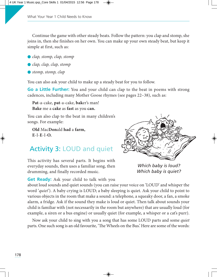Continue the game with other steady beats. Follow the pattern: you clap and stomp, she joins in, then she finishes on her own. You can make up your own steady beat, but keep it simple at first, such as:

- **●** *clap, stomp, clap, stomp*
- **●** *clap, clap, clap, stomp*
- *stomp*, *stomp*, *clap*

You can also ask your child to make up a steady beat for you to follow.

**Go a Little Further:** You and your child can clap to the beat in poems with strong cadences, including many Mother Goose rhymes (see pages 22–38), such as:

**Pat**-a-cake, **pat**-a-cake, **bak**er's man! **Bake** me a **cake** as **fast** as you **can.**

You can also clap to the beat in many children's songs. For example:

**Old** Mac**Don**ald **had** a **farm, E**-I-**E**-I-**O.**

#### Activity 3: LOUD and quiet

This activity has several parts. It begins with everyday sounds, then uses a familiar song, then drumming, and finally recorded music.

**Get Ready:** Ask your child to talk with you



*Which baby is loud? Which baby is quiet?* 

about loud sounds and quiet sounds (you can raise your voice on 'LOUD' and whisper the word '*quiet*'). A baby crying is LOUD; a baby sleeping is quiet. Ask your child to point to various objects in the room that make a sound: a telephone, a squeaky door, a fan, a smoke alarm, a fridge. Ask if the sound they make is loud or quiet. Then talk about sounds your child is familiar with (not necessarily in the room but anywhere) that are usually loud (for example, a siren or a bus engine) or usually quiet (for example, a whisper or a cat's purr).

Now ask your child to sing with you a song that has some LOUD parts and some *quiet* parts. One such song is an old favourite, 'The Wheels on the Bus.' Here are some of the words: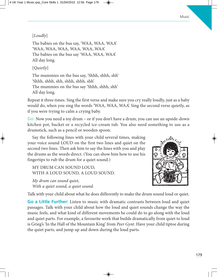#### [*Loudly*]

The babies on the bus say, 'WAA, WAA, WAA' 'WAA, WAA, WAA, WAA, WAA, WAA' The babies on the bus say 'WAA, WAA, WAA' All day long.

#### [*Quietly*]

The mummies on the bus say, 'Shhh, shhh, shh' 'Shhh, shhh, shh, shhh, shhh, shh' The mummies on the bus say 'Shhh, shhh, shh' All day long.

Repeat it three times. Sing the first verse and make sure you cry really loudly, just as a baby would do, when you sing the words 'WAA, WAA, WAA'. Sing the second verse quietly, as if you were trying to calm a crying baby.

**Go:** Now you need a toy drum – or if you don't have a drum, you can use an upside-down kitchen pot, bucket or a recycled ice-cream tub. You also need something to use as a drumstick, such as a pencil or wooden spoon.

Say the following lines with your child several times, making your voice sound LOUD on the first two lines and quiet on the second two lines. Then ask him to say the lines with you and play the drums as the words direct. (You can show him how to use his fingertips to rub the drum for a quiet sound.)

MY DRUM CAN SOUND LOUD, WITH A LOUD SOUND, A LOUD SOUND.

*My drum can sound quiet, With a quiet sound, a quiet sound.*



Talk with your child about what he does differently to make the drum sound loud or quiet.

**Go a Little Further:** Listen to music with dramatic contrasts between loud and quiet passages. Talk with your child about how the loud and quiet sounds change the way the music feels, and what kind of different movements he could do to go along with the loud and quiet parts. For example, a favourite work that builds dramatically from quiet to loud is Grieg's 'In the Hall of the Mountain King' from *Peer Gynt*. Have your child tiptoe during the quiet parts, and jump up and down during the loud parts.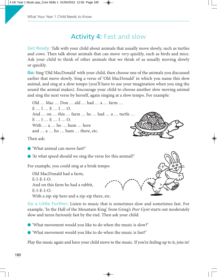#### Activity 4: Fast and slow

**Get Ready:** Talk with your child about animals that usually move slowly, such as turtles and cows. Then talk about animals that can move *very* quickly, such as birds and mice. Ask your child to think of other animals that we think of as usually moving slowly or quickly.

**Go:** Sing 'Old MacDonald' with your child, then choose one of the animals you discussed earlier that move slowly. Sing a verse of 'Old MacDonald' in which you name this slow animal, and sing at a slow tempo (you'll have to use your imagination when you sing the sound the animal makes). Encourage your child to choose another slow moving animal and sing the next verse by herself, again singing at a slow tempo. For example:

Old … Mac … Don … ald … had … a … farm … E … I … E … I … O. And … on … this … farm … he … had … a … turtle … E … I … E … I … O. With … a … ho … hum … here and … a … ho … hum … there, etc.

Then ask:

**●** 'What animal can move fast?'

**●** 'At what speed should we sing the verse for this animal?'

For example, you could sing at a brisk tempo:

Old MacDonald had a farm, E-I-E-I-O. And on this farm he had a rabbit, E-I-E-I-O. With a zip-zip here and a zip-zip there, etc.

**Go a Little Further:** Listen to music that is sometimes slow and sometimes fast. For example, 'In the Hall of the Mountain King' from Grieg's *Peer Gynt* starts out moderately slow and turns furiously fast by the end. Then ask your child:

**●** 'What movement would you like to do when the music is slow?'

**●** 'What movement would you like to do when the music is fast?'

Play the music again and have your child move to the music. If you're feeling up to it, join in!

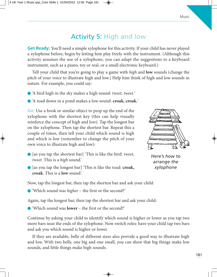#### Activity 5: High and low

**Get Ready:** You'll need a simple xylophone for this activity. If your child has never played a xylophone before, begin by letting him play freely with the instrument. (Although this activity assumes the use of a xylophone, you can adapt the suggestions to a keyboard instrument, such as a piano, toy or real, or a small electronic keyboard.)

Tell your child that you're going to play a game with *high* and **low** sounds (change the pitch of your voice to illustrate high and low.) Help him think of high and low sounds in nature. For example, you could say:

- **●** 'A bird high in the sky makes a high sound: *tweet, tweet.*'
- **●** 'A toad down in a pond makes a low sound: **croak, croak.**'

**Go:** Use a book or similar object to prop up the end of the xylophone with the shortest key (this can help visually reinforce the concept of high and low). Tap the longest bar on the xylophone. Then tap the shortest bar. Repeat this a couple of times, then tell your child which sound is high and which is low (remember to change the pitch of your own voice to illustrate high and low):

- **●** [as you tap the shortest bar] 'This is like the bird: *tweet, tweet*. This is a *high* sound.'
- **●** [as you tap the longest bar] 'This is like the toad: **croak, croak**. This is a **low** sound.'

Now, tap the longest bar, then tap the shortest bar and ask your child:

**●** 'Which sound was *higher* – the first or the second?'

Again, tap the longest bar, then tap the shortest bar and ask your child:

**●** 'Which sound was **lower** – the first or the second?'

Continue by asking your child to identify which sound is higher or lower as you tap two more bars near the ends of the xylophone. Now switch roles: have your child tap two bars and ask you which sound is higher or lower.

If they are available, bells of different sizes also provide a good way to illustrate high and low. With two bells, one big and one small, you can show that big things make low sounds, and little things make high sounds.



*Here's how to arrange the xylophone*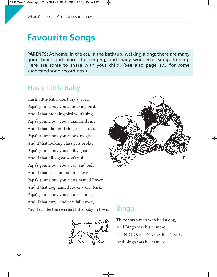### **Favourite Songs**

**PARENTS:** At home, in the car, in the bathtub, walking along: there are many good times and places for singing, and many wonderful songs to sing. Here are some to share with your child. (See also page 173 for some suggested song recordings.)

#### Hush, Little Baby

Hush, little baby, don't say a word, Papa's gonna buy you a mocking bird. And if that mocking bird won't sing, Papa's gonna buy you a diamond ring. And if that diamond ring turns brass, Papa's gonna buy you a looking glass. And if that looking glass gets broke, Papa's gonna buy you a billy goat. And if that billy goat won't pull, Papa's gonna buy you a cart and bull. And if that cart and bull turn over, Papa's gonna buy you a dog named Rover. And if that dog named Rover won't bark, Papa's gonna buy you a horse and cart. And if that horse and cart fall down, You'll still be the sweetest little baby in town.  $\blacksquare$   $\blacksquare$   $\blacksquare$   $\blacksquare$ 





There was a man who had a dog, And Bingo was his name-o. B-I-N-G-O, B-I-N-G-O, B-I-N-G-O And Bingo was his name-o.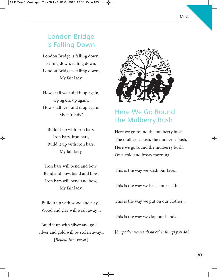#### London Bridge Is Falling Down

London Bridge is falling down, Falling down, falling down, London Bridge is falling down, My fair lady.

How shall we build it up again, Up again, up again, How shall we build it up again, My fair lady?

Build it up with iron bars, Iron bars, iron bars, Build it up with iron bars, My fair lady.

Iron bars will bend and bow, Bend and bow, bend and bow, Iron bars will bend and bow, My fair lady.

Build it up with wood and clay... Wood and clay will wash away....

Build it up with silver and gold... Silver and gold will be stolen away... [*Repeat first verse.*]



#### Here We Go Round the Mulberry Bush

Here we go round the mulberry bush, The mulberry bush, the mulberry bush, Here we go round the mulberry bush, On a cold and frosty morning.

This is the way we wash our face...

This is the way we brush our teeth...

This is the way we put on our clothes...

This is the way we clap our hands...

[*Sing other verses about other things you do.*]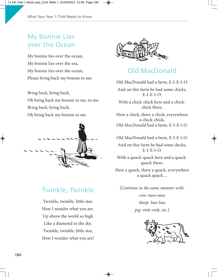#### My Bonnie Lies over the Ocean

My bonnie lies over the ocean, My bonnie lies over the sea, My bonnie lies over the ocean, Please bring back my bonnie to me.

Bring back, bring back, Oh bring back my bonnie to me, to me. Bring back, bring back, Oh bring back my bonnie to me.



#### Twinkle, Twinkle

Twinkle, twinkle, little star, How I wonder what you are. Up above the world so high Like a diamond in the sky. Twinkle, twinkle, little star, How I wonder what you are!



Old MacDonald

Old MacDonald had a farm, E-I-E-I-O.

And on this farm he had some chicks,  $F-I-F-I-O$ 

With a chick-chick here and a chickchick there,

Here a chick, there a chick, everywhere a chick-chick, Old MacDonald had a farm, E-I-E-l-O.

Old MacDonald had a farm, E-I-E-l-O.

And on this farm he had some ducks,  $E-I-E-I-O.$ 

With a quack-quack here and a quackquack there,

Here a quack, there a quack, everywhere a quack quack....

[*Continue in the same manner with: cow: moo-moo sheep: baa-baa* 

*pig: oink-oink, etc.*]

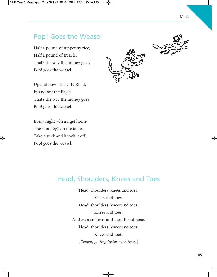#### Pop! Goes the Weasel

Half a pound of tuppenny rice, Half a pound of treacle. That's the way the money goes, Pop! goes the weasel.





Up and down the City Road, In and out the Eagle. That's the way the money goes, Pop! goes the weasel.

Every night when I get home The monkey's on the table, Take a stick and knock it off, Pop! goes the weasel.

### Head, Shoulders, Knees and Toes

Head, shoulders, knees and toes, Knees and toes. Head, shoulders, knees and toes, Knees and toes. And eyes and ears and mouth and nose, Head, shoulders, knees and toes, Knees and toes. [*Repeat, getting faster each time.*]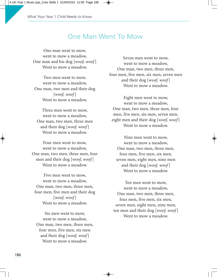#### One Man Went To Mow

One man went to mow, went to mow a meadow, One man and his dog [*woof, woof*] Went to mow a meadow.

Two men went to mow, went to mow a meadow, One man, two men and their dog [*woof, woof*] Went to mow a meadow.

Three men went to mow, went to mow a meadow, One man, two men, three men and their dog [*woof, woof*] Went to mow a meadow.

Four men went to mow, went to mow a meadow, One man, two men, three men, four men and their dog [*woof, woof*] Went to mow a meadow.

Five men went to mow, went to mow a meadow, One man, two men, three men, four men, five men and their dog [*woof, woof*] Went to mow a meadow.

Six men went to mow, went to mow a meadow, One man, two men, three men, four men, five men, six men and their dog [*woof, woof*] Went to mow a meadow.

Seven men went to mow, went to mow a meadow, One man, two men, three men, four men, five men, six men, seven men and their dog [*woof, woof*] Went to mow a meadow.

Eight men went to mow, went to mow a meadow, One man, two men, three men, four men, five men, six men, seven men, eight men and their dog [*woof, woof*] Went to mow a meadow.

Nine men went to mow, went to mow a meadow, One man, two men, three men, four men, five men, six men, seven men, eight men, nine men and their dog [*woof, woof*] Went to mow a meadow.

Ten men went to mow, went to mow a meadow, One man, two men, three men, four men, five men, six men, seven men, eight men, nine men, ten men and their dog [*woof, woof*] Went to mow a meadow.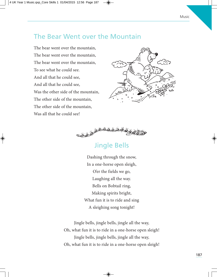#### The Bear Went over the Mountain

The bear went over the mountain, The bear went over the mountain, The bear went over the mountain, To see what he could see. And all that he could see, And all that he could see, Was the other side of the mountain, The other side of the mountain, The other side of the mountain, Was all that he could see!





#### Jingle Bells

Dashing through the snow, In a one-horse open sleigh, O'er the fields we go, Laughing all the way. Bells on Bobtail ring, Making spirits bright, What fun it is to ride and sing A sleighing song tonight!

Jingle bells, jingle bells, jingle all the way, Oh, what fun it is to ride in a one-horse open sleigh! Jingle bells, jingle bells, jingle all the way, Oh, what fun it is to ride in a one-horse open sleigh!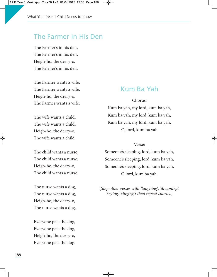#### The Farmer in His Den

The Farmer's in his den, The Farmer's in his den, Heigh-ho, the derry-o, The Farmer's in his den.

The Farmer wants a wife, The Farmer wants a wife, Heigh-ho, the derry-o, The Farmer wants a wife.

The wife wants a child, The wife wants a child, Heigh-ho, the derry-o, The wife wants a child.

The child wants a nurse, The child wants a nurse, Heigh-ho, the derry-o, The child wants a nurse.

The nurse wants a dog, The nurse wants a dog, Heigh-ho, the derry-o, The nurse wants a dog.

Everyone pats the dog, Everyone pats the dog, Heigh-ho, the derry-o, Everyone pats the dog.

#### Kum Ba Yah

Chorus:

Kum ba yah, my lord, kum ba yah, Kum ba yah, my lord, kum ba yah, Kum ba yah, my lord, kum ba yah, O, lord, kum ba yah

#### Verse:

Someone's sleeping, lord, kum ba yah, Someone's sleeping, lord, kum ba yah, Someone's sleeping, lord, kum ba yah, O lord, kum ba yah.

[*Sing other verses with 'laughing', 'dreaming', 'crying,' 'singing,'; then repeat chorus.*]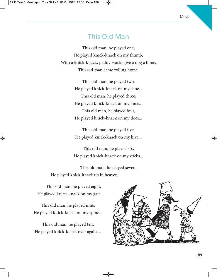#### This Old Man

This old man, he played one, He played knick-knack on my thumb, With a knick-knack, paddy-wack, give a dog a bone, This old man came rolling home.

> This old man, he played two, He played knick-knack on my shoe... This old man, he played three, He played knick-knack on my knee... This old man, he played four, He played knick-knack on my door...

This old man, he played five, He played knick-knack on my hive...

This old man, he played six, He played knick-knack on my sticks...

This old man, he played seven, He played knick-knack up in heaven...

This old man, he played eight, He played knick-knack on my gate...

This old man, he played nine, He played knick-knack on my spine...

This old man, he played ten, He played knick-knack over again ...

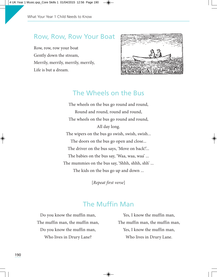#### Row, Row, Row Your Boat

Row, row, row your boat Gently down the stream, Merrily, merrily, merrily, merrily, Life is but a dream.



#### The Wheels on the Bus

The wheels on the bus go round and round, Round and round, round and round, The wheels on the bus go round and round, All day long. The wipers on the bus go swish, swish, swish... The doors on the bus go open and close... The driver on the bus says, 'Move on back!'... The babies on the bus say, 'Waa, waa, waa' ... The mummies on the bus say, 'Shhh, shhh, shh' ... The kids on the bus go up and down ...

[*Repeat first verse*]

#### The Muffin Man

Do you know the muffin man, The muffin man, the muffin man, Do you know the muffin man, Who lives in Drury Lane?

Yes, I know the muffin man, The muffin man, the muffin man, Yes, I know the muffin man, Who lives in Drury Lane.